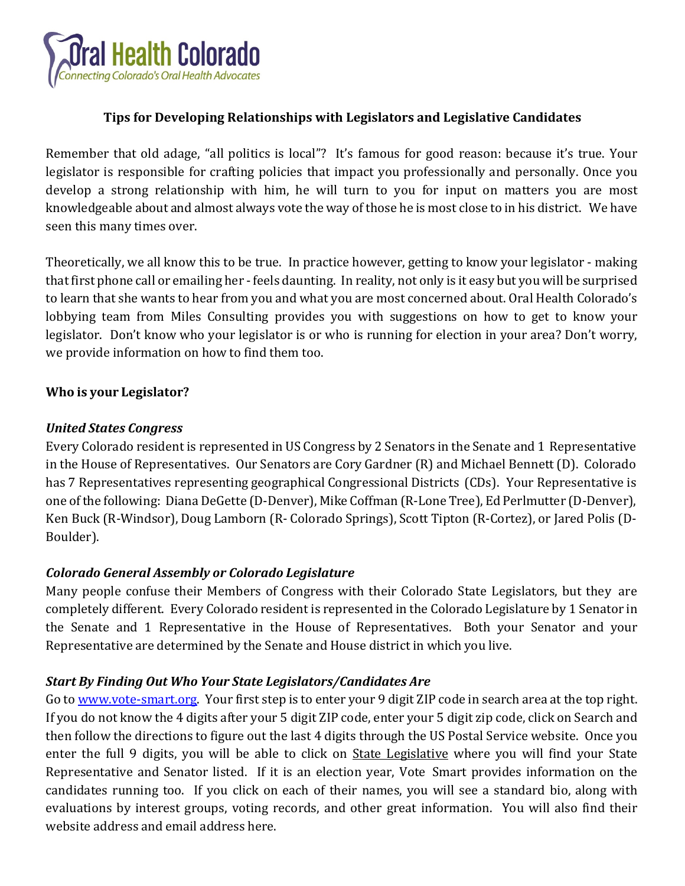

## **Tips for Developing Relationships with Legislators and Legislative Candidates**

Remember that old adage, "all politics is local"? It's famous for good reason: because it's true. Your legislator is responsible for crafting policies that impact you professionally and personally. Once you develop a strong relationship with him, he will turn to you for input on matters you are most knowledgeable about and almost always vote the way of those he is most close to in his district. We have seen this many times over.

Theoretically, we all know this to be true. In practice however, getting to know your legislator - making that first phone call or emailing her - feels daunting. In reality, not only is it easy but you will be surprised to learn that she wants to hear from you and what you are most concerned about. Oral Health Colorado's lobbying team from Miles Consulting provides you with suggestions on how to get to know your legislator. Don't know who your legislator is or who is running for election in your area? Don't worry, we provide information on how to find them too.

#### **Who is your Legislator?**

#### *United States Congress*

Every Colorado resident is represented in US Congress by 2 Senators in the Senate and 1 Representative in the House of Representatives. Our Senators are Cory Gardner (R) and Michael Bennett (D). Colorado has 7 Representatives representing geographical Congressional Districts (CDs). Your Representative is one ofthe following: Diana DeGette (D-Denver), Mike Coffman (R-Lone Tree), Ed Perlmutter (D-Denver), Ken Buck (R-Windsor), Doug Lamborn (R- Colorado Springs), Scott Tipton (R-Cortez), or Jared Polis (D-Boulder).

#### *Colorado General Assembly or Colorado Legislature*

Many people confuse their Members of Congress with their Colorado State Legislators, but they are completely different. Every Colorado resident is represented in the Colorado Legislature by 1 Senator in the Senate and 1 Representative in the House of Representatives. Both your Senator and your Representative are determined by the Senate and House district in which you live.

#### *Start By Finding Out Who Your State Legislators/Candidates Are*

Go to [www.vote-smart.org.](http://www.vote-smart.org/) Your first step is to enter your 9 digit ZIP code in search area at the top right. If you do not know the 4 digits after your 5 digit ZIP code, enter your 5 digit zip code, click on Search and then follow the directions to figure out the last 4 digits through the US Postal Service website. Once you enter the full 9 digits, you will be able to click on State Legislative where you will find your State Representative and Senator listed. If it is an election year, Vote Smart provides information on the candidates running too. If you click on each of their names, you will see a standard bio, along with evaluations by interest groups, voting records, and other great information. You will also find their website address and email address here.